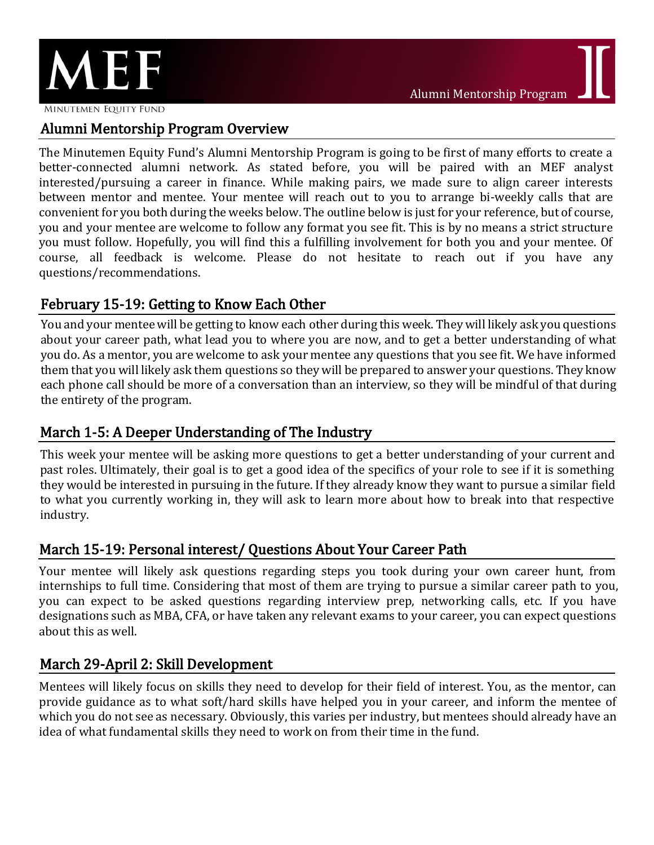

MINUTEMEN EQUITY FUND

## Alumni Mentorship Program Overview

The Minutemen Equity Fund's Alumni Mentorship Program is going to be first of many efforts to create a better-connected alumni network. As stated before, you will be paired with an MEF analyst interested/pursuing a career in finance. While making pairs, we made sure to align career interests between mentor and mentee. Your mentee will reach out to you to arrange bi-weekly calls that are convenient for you both during the weeks below. The outline below is just for your reference, but of course, you and your mentee are welcome to follow any format you see fit. This is by no means a strict structure you must follow. Hopefully, you will find this a fulfilling involvement for both you and your mentee. Of course, all feedback is welcome. Please do not hesitate to reach out if you have any questions/recommendations.

## February 15-19: Getting to Know Each Other

You and your mentee will be getting to know each other during this week. They will likely ask you questions about your career path, what lead you to where you are now, and to get a better understanding of what you do. As a mentor, you are welcome to ask your mentee any questions that you see fit. We have informed them that you will likely ask them questions so they will be prepared to answer your questions. They know each phone call should be more of a conversation than an interview, so they will be mindful of that during the entirety of the program.

# March 1-5: A Deeper Understanding of The Industry

This week your mentee will be asking more questions to get a better understanding of your current and past roles. Ultimately, their goal is to get a good idea of the specifics of your role to see if it is something they would be interested in pursuing in the future. If they already know they want to pursue a similar field to what you currently working in, they will ask to learn more about how to break into that respective industry.

## March 15-19: Personal interest/ Questions About Your Career Path

Your mentee will likely ask questions regarding steps you took during your own career hunt, from internships to full time. Considering that most of them are trying to pursue a similar career path to you, you can expect to be asked questions regarding interview prep, networking calls, etc. If you have designations such as MBA, CFA, or have taken any relevant exams to your career, you can expect questions about this as well.

## March 29-April 2: Skill Development

Mentees will likely focus on skills they need to develop for their field of interest. You, as the mentor, can provide guidance as to what soft/hard skills have helped you in your career, and inform the mentee of which you do not see as necessary. Obviously, this varies per industry, but mentees should already have an idea of what fundamental skills they need to work on from their time in the fund.